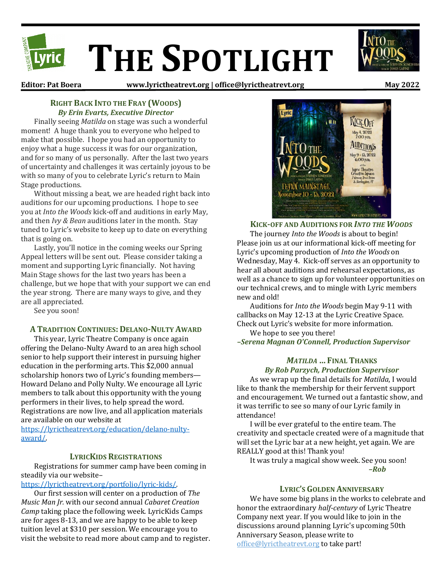

**Editor: Pat Boera www.lyrictheatrevt.org | office@lyrictheatrevt.org May 2022**

## **RIGHT BACK INTO THE FRAY (WOODS)** *By Erin Evarts, Executive Director*

Finally seeing *Matilda* on stage was such a wonderful moment! A huge thank you to everyone who helped to make that possible. I hope you had an opportunity to enjoy what a huge success it was for our organization, and for so many of us personally. After the last two years of uncertainty and challenges it was certainly joyous to be with so many of you to celebrate Lyric's return to Main Stage productions.

Without missing a beat, we are headed right back into auditions for our upcoming productions. I hope to see you at *Into the Woods* kick-off and auditions in early May, and then *Ivy & Bean* auditions later in the month. Stay tuned to Lyric's website to keep up to date on everything that is going on.

Lastly, you'll notice in the coming weeks our Spring Appeal letters will be sent out. Please consider taking a moment and supporting Lyric financially. Not having Main Stage shows for the last two years has been a challenge, but we hope that with your support we can end the year strong. There are many ways to give, and they are all appreciated.

See you soon!

# **A TRADITION CONTINUES: DELANO-NULTY AWARD**

This year, Lyric Theatre Company is once again offering the Delano-Nulty Award to an area high school senior to help support their interest in pursuing higher education in the performing arts. This \$2,000 annual scholarship honors two of Lyric's founding members— Howard Delano and Polly Nulty. We encourage all Lyric members to talk about this opportunity with the young performers in their lives, to help spread the word. Registrations are now live, and all application materials are available on our website at

[https://lyrictheatrevt.org/education/delano-nulty](https://lyrictheatrevt.org/education/delano-nulty-award/)[award/.](https://lyrictheatrevt.org/education/delano-nulty-award/) 

### **LYRICKIDS REGISTRATIONS**

Registrations for summer camp have been coming in steadily via our website–

## [https://lyrictheatrevt.org/portfolio/lyric-kids/.](https://lyrictheatrevt.org/portfolio/lyric-kids/)

Our first session will center on a production of *The Music Man Jr.* with our second annual *Cabaret Creation Camp* taking place the following week*.* LyricKids Camps are for ages 8-13, and we are happy to be able to keep tuition level at \$310 per session. We encourage you to visit the website to read more about camp and to register.



**KICK-OFF AND AUDITIONS FOR** *INTO THE WOODS* The journey *Into the Woods* is about to begin! Please join us at our informational kick-off meeting for Lyric's upcoming production of *Into the Woods* on Wednesday, May 4. Kick-off serves as an opportunity to hear all about auditions and rehearsal expectations, as well as a chance to sign up for volunteer opportunities on our technical crews, and to mingle with Lyric members new and old!

Auditions for *Into the Woods* begin May 9-11 with callbacks on May 12-13 at the Lyric Creative Space. Check out Lyric's website for more information.

We hope to see you there!

*–Serena Magnan O'Connell, Production Supervisor*

# *MATILDA* **… FINAL THANKS**

*By Rob Parzych, Production Supervisor* As we wrap up the final details for *Matilda*, I would like to thank the membership for their fervent support and encouragement. We turned out a fantastic show, and it was terrific to see so many of our Lyric family in attendance!

I will be ever grateful to the entire team. The creativity and spectacle created were of a magnitude that will set the Lyric bar at a new height, yet again. We are REALLY good at this! Thank you!

It was truly a magical show week. See you soon! *–Rob*

#### **LYRIC'S GOLDEN ANNIVERSARY**

We have some big plans in the works to celebrate and honor the extraordinary *half-century* of Lyric Theatre Company next year. If you would like to join in the discussions around planning Lyric's upcoming 50th Anniversary Season, please write to [office@lyrictheatrevt.org](mailto:office@lyrictheatrevt.org) to take part!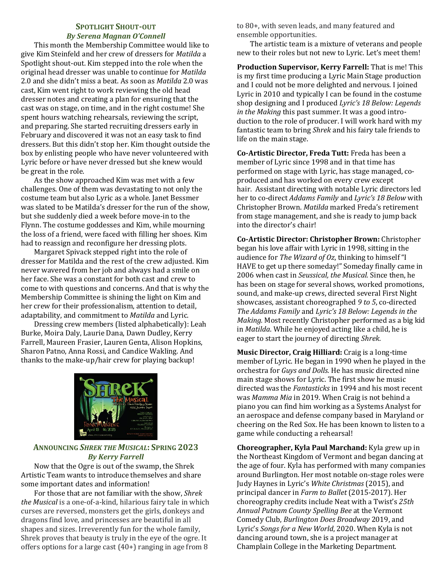#### **SPOTLIGHT SHOUT-OUT** *By Serena Magnan O'Connell*

This month the Membership Committee would like to give Kim Steinfeld and her crew of dressers for *Matilda* a Spotlight shout-out. Kim stepped into the role when the original head dresser was unable to continue for *Matilda* 2.0 and she didn't miss a beat. As soon as *Matilda* 2.0 was cast, Kim went right to work reviewing the old head dresser notes and creating a plan for ensuring that the cast was on stage, on time, and in the right costume! She spent hours watching rehearsals, reviewing the script, and preparing. She started recruiting dressers early in February and discovered it was not an easy task to find dressers. But this didn't stop her. Kim thought outside the box by enlisting people who have never volunteered with Lyric before or have never dressed but she knew would be great in the role.

As the show approached Kim was met with a few challenges. One of them was devastating to not only the costume team but also Lyric as a whole. Janet Bessmer was slated to be Matilda's dresser for the run of the show, but she suddenly died a week before move-in to the Flynn. The costume goddesses and Kim, while mourning the loss of a friend, were faced with filling her shoes. Kim had to reassign and reconfigure her dressing plots.

Margaret Spivack stepped right into the role of dresser for Matilda and the rest of the crew adjusted. Kim never wavered from her job and always had a smile on her face. She was a constant for both cast and crew to come to with questions and concerns. And that is why the Membership Committee is shining the light on Kim and her crew for their professionalism, attention to detail, adaptability, and commitment to *Matilda* and Lyric.

Dressing crew members (listed alphabetically): Leah Burke, Moira Daly, Laurie Dana, Dawn Dudley, Kerry Farrell, Maureen Frasier, Lauren Genta, Alison Hopkins, Sharon Patno, Anna Rossi, and Candice Wakling. And thanks to the make-up/hair crew for playing backup!



# **ANNOUNCING** *SHREK THE MUSICAL***: SPRING 2023** *By Kerry Farrell*

Now that the Ogre is out of the swamp, the Shrek Artistic Team wants to introduce themselves and share some important dates and information!

For those that are not familiar with the show, *Shrek the Musical* is a one-of-a-kind, hilarious fairy tale in which curses are reversed, monsters get the girls, donkeys and dragons find love, and princesses are beautiful in all shapes and sizes. Irreverently fun for the whole family, Shrek proves that beauty is truly in the eye of the ogre. It offers options for a large cast (40+) ranging in age from 8

to 80+, with seven leads, and many featured and ensemble opportunities.

The artistic team is a mixture of veterans and people new to their roles but not new to Lyric. Let's meet them!

**Production Supervisor, Kerry Farrell:** That is me! This is my first time producing a Lyric Main Stage production and I could not be more delighted and nervous. I joined Lyric in 2010 and typically I can be found in the costume shop designing and I produced *Lyric's 18 Below: Legends in the Making* this past summer. It was a good introduction to the role of producer. I will work hard with my fantastic team to bring *Shrek* and his fairy tale friends to life on the main stage.

**Co-Artistic Director, Freda Tutt:** Freda has been a member of Lyric since 1998 and in that time has performed on stage with Lyric, has stage managed, coproduced and has worked on every crew except hair. Assistant directing with notable Lyric directors led her to co-direct *Addams Family* and *Lyric's 18 Below* with Christopher Brown. *Matilda* marked Freda's retirement from stage management, and she is ready to jump back into the director's chair!

**Co-Artistic Director: Christopher Brown:** Christopher began his love affair with Lyric in 1998, sitting in the audience for *The Wizard of Oz*, thinking to himself "I HAVE to get up there someday!" Someday finally came in 2006 when cast in *Seussical, the Musical.* Since then, he has been on stage for several shows, worked promotions, sound, and make-up crews, directed several First Night showcases, assistant choreographed *9 to 5*, co-directed *The Addams Family* and *Lyric's 18 Below: Legends in the Making.* Most recently Christopher performed as a big kid in *Matilda*. While he enjoyed acting like a child, he is eager to start the journey of directing *Shrek*.

**Music Director, Craig Hilliard:** Craig is a long-time member of Lyric. He began in 1990 when he played in the orchestra for *Guys and Dolls.* He has music directed nine main stage shows for Lyric. The first show he music directed was the *Fantasticks* in 1994 and his most recent was *Mamma Mia* in 2019. When Craig is not behind a piano you can find him working as a Systems Analyst for an aerospace and defense company based in Maryland or cheering on the Red Sox. He has been known to listen to a game while conducting a rehearsal!

**Choreographer, Kyla Paul Marchand:** Kyla grew up in the Northeast Kingdom of Vermont and began dancing at the age of four. Kyla has performed with many companies around Burlington. Her most notable on-stage roles were Judy Haynes in Lyric's *White Christmas* (2015), and principal dancer in *Farm to Ballet* (2015-2017). Her choreography credits include Neat with a Twist's *25th Annual Putnam County Spelling Bee* at the Vermont Comedy Club, *Burlington Does Broadway* 2019, and Lyric's *Songs for a New World*, 2020. When Kyla is not dancing around town, she is a project manager at Champlain College in the Marketing Department.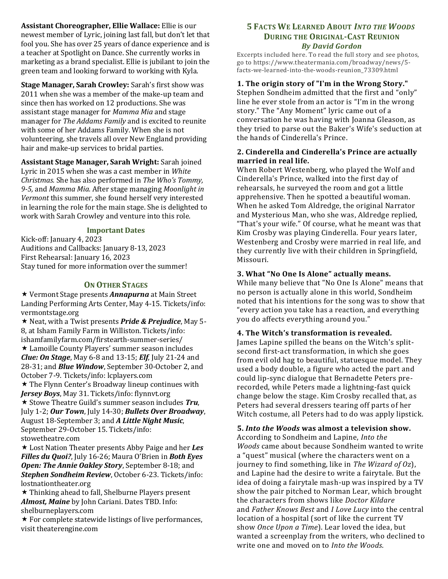**Assistant Choreographer, Ellie Wallace:** Ellie is our newest member of Lyric, joining last fall, but don't let that fool you. She has over 25 years of dance experience and is a teacher at Spotlight on Dance. She currently works in marketing as a brand specialist. Ellie is jubilant to join the green team and looking forward to working with Kyla.

**Stage Manager, Sarah Crowley:** Sarah's first show was 2011 when she was a member of the make-up team and since then has worked on 12 productions. She was assistant stage manager for *Mamma Mia* and stage manager for *The Addams Family* and is excited to reunite with some of her Addams Family. When she is not volunteering, she travels all over New England providing hair and make-up services to bridal parties.

**Assistant Stage Manager, Sarah Wright:** Sarah joined Lyric in 2015 when she was a cast member in *White Christmas.* She has also performed in *The Who's Tommy, 9-5,* and *Mamma Mia.* After stage managing *Moonlight in Vermont* this summer, she found herself very interested in learning the role for the main stage. She is delighted to work with Sarah Crowley and venture into this role.

### **Important Dates**

Kick-off: January 4, 2023 Auditions and Callbacks: January 8-13, 2023 First Rehearsal: January 16, 2023 Stay tuned for more information over the summer!

## **ON OTHER STAGES**

 Vermont Stage presents *Annapurna* at Main Street Landing Performing Arts Center, May 4-15. Tickets/info: vermontstage.org

 Neat, with a Twist presents *Pride & Prejudice*, May 5- 8, at Isham Family Farm in Williston. Tickets/info: ishamfamilyfarm.com/firstearth-summer-series/ Lamoille County Players' summer season includes *Clue: On Stage*, May 6-8 and 13-15; *Elf*, July 21-24 and 28-31; and *Blue Window*, September 30-October 2, and October 7-9. Tickets/info: lcplayers.com  $\star$  The Flynn Center's Broadway lineup continues with *Jersey Boys*, May 31. Tickets/info: flynnvt.org Stowe Theatre Guild's summer season includes *Tru*, July 1-2; *Our Town*, July 14-30; *Bullets Over Broadway*, August 18-September 3; and *A Little Night Music*, September 29-October 15. Tickets/info: stowetheatre.com

 Lost Nation Theater presents Abby Paige and her *Les Filles du Quoi?*, July 16-26; Maura O'Brien in *Both Eyes Open: The Annie Oakley Story*, September 8-18; and *Stephen Sondheim Review*, October 6-23. Tickets/info: lostnationtheater.org

 $\star$  Thinking ahead to fall, Shelburne Players present *Almost, Maine* by John Cariani. Dates TBD. Info: shelburneplayers.com

 $\star$  For complete statewide listings of live performances, visit theaterengine.com

# **5 FACTS WE LEARNED ABOUT** *INTO THE WOODS* **DURING THE ORIGINAL-CAST REUNION** *By David Gordon*

Excerpts included here. To read the full story and see photos, go to https://www.theatermania.com/broadway/news/5 facts-we-learned-into-the-woods-reunion\_73309.html

# **1. The origin story of "I'm in the Wrong Story."**

Stephen Sondheim admitted that the first and "only" line he ever stole from an actor is "I'm in the wrong story." The "Any Moment" lyric came out of a conversation he was having with Joanna Gleason, as they tried to parse out the Baker's Wife's seduction at the hands of Cinderella's Prince.

# **2. Cinderella and Cinderella's Prince are actually married in real life.**

When Robert Westenberg, who played the Wolf and Cinderella's Prince, walked into the first day of rehearsals, he surveyed the room and got a little apprehensive. Then he spotted a beautiful woman. When he asked Tom Aldredge, the original Narrator and Mysterious Man, who she was, Aldredge replied, "That's your wife." Of course, what he meant was that Kim Crosby was playing Cinderella. Four years later, Westenberg and Crosby were married in real life, and they currently live with their children in Springfield, Missouri.

# **3. What "No One Is Alone" actually means.**

While many believe that "No One Is Alone" means that no person is actually alone in this world, Sondheim noted that his intentions for the song was to show that "every action you take has a reaction, and everything you do affects everything around you."

# **4. The Witch's transformation is revealed.**

James Lapine spilled the beans on the Witch's splitsecond first-act transformation, in which she goes from evil old hag to beautiful, statuesque model. They used a body double, a figure who acted the part and could lip-sync dialogue that Bernadette Peters prerecorded, while Peters made a lightning-fast quick change below the stage. Kim Crosby recalled that, as Peters had several dressers tearing off parts of her Witch costume, all Peters had to do was apply lipstick.

# **5.** *Into the Woods* **was almost a television show.**

According to Sondheim and Lapine, *Into the Woods* came about because Sondheim wanted to write a "quest" musical (where the characters went on a journey to find something, like in *The Wizard of Oz*), and Lapine had the desire to write a fairytale. But the idea of doing a fairytale mash-up was inspired by a TV show the pair pitched to Norman Lear, which brought the characters from shows like *Doctor Kildare* and *Father Knows Best* and *I Love Lucy* into the central location of a hospital (sort of like the current TV show *Once Upon a Time*). Lear loved the idea, but wanted a screenplay from the writers, who declined to write one and moved on to *Into the Woods*.